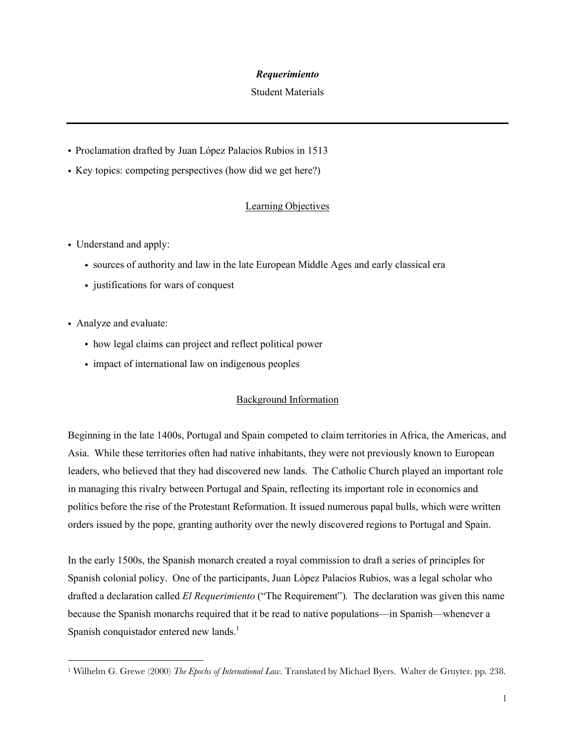### *Requerimiento*

#### Student Materials

- ! Proclamation drafted by Juan López Palacios Rubios in 1513
- ! Key topics: competing perspectives (how did we get here?)

## Learning Objectives

- Understand and apply:
	- ! sources of authority and law in the late European Middle Ages and early classical era
	- justifications for wars of conquest
- ! Analyze and evaluate:
	- ! how legal claims can project and reflect political power
	- impact of international law on indigenous peoples

## Background Information

Beginning in the late 1400s, Portugal and Spain competed to claim territories in Africa, the Americas, and Asia. While these territories often had native inhabitants, they were not previously known to European leaders, who believed that they had discovered new lands. The Catholic Church played an important role in managing this rivalry between Portugal and Spain, reflecting its important role in economics and politics before the rise of the Protestant Reformation. It issued numerous papal bulls, which were written orders issued by the pope, granting authority over the newly discovered regions to Portugal and Spain.

In the early 1500s, the Spanish monarch created a royal commission to draft a series of principles for Spanish colonial policy. One of the participants, Juan López Palacios Rubios, was a legal scholar who drafted a declaration called *El Requerimiento* ("The Requirement")*.* The declaration was given this name because the Spanish monarchs required that it be read to native populations—in Spanish—whenever a Spanish conquistador entered new lands.<sup>1</sup>

<sup>1</sup> Wilhelm G. Grewe (2000) *The Epochs of International Law*. Translated by Michael Byers. Walter de Gruyter. pp. 238.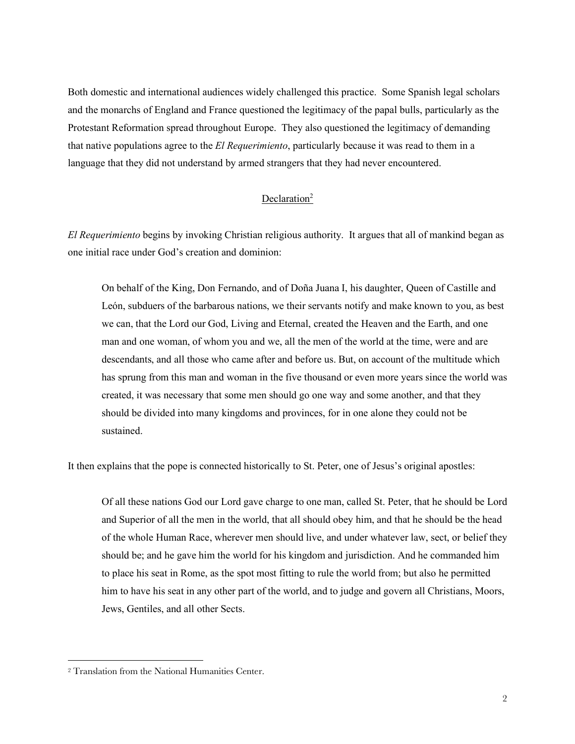Both domestic and international audiences widely challenged this practice. Some Spanish legal scholars and the monarchs of England and France questioned the legitimacy of the papal bulls, particularly as the Protestant Reformation spread throughout Europe. They also questioned the legitimacy of demanding that native populations agree to the *El Requerimiento*, particularly because it was read to them in a language that they did not understand by armed strangers that they had never encountered.

# Declaration<sup>2</sup>

*El Requerimiento* begins by invoking Christian religious authority. It argues that all of mankind began as one initial race under God's creation and dominion:

On behalf of the King, Don Fernando, and of Doña Juana I, his daughter, Queen of Castille and León, subduers of the barbarous nations, we their servants notify and make known to you, as best we can, that the Lord our God, Living and Eternal, created the Heaven and the Earth, and one man and one woman, of whom you and we, all the men of the world at the time, were and are descendants, and all those who came after and before us. But, on account of the multitude which has sprung from this man and woman in the five thousand or even more years since the world was created, it was necessary that some men should go one way and some another, and that they should be divided into many kingdoms and provinces, for in one alone they could not be sustained.

It then explains that the pope is connected historically to St. Peter, one of Jesus's original apostles:

Of all these nations God our Lord gave charge to one man, called St. Peter, that he should be Lord and Superior of all the men in the world, that all should obey him, and that he should be the head of the whole Human Race, wherever men should live, and under whatever law, sect, or belief they should be; and he gave him the world for his kingdom and jurisdiction. And he commanded him to place his seat in Rome, as the spot most fitting to rule the world from; but also he permitted him to have his seat in any other part of the world, and to judge and govern all Christians, Moors, Jews, Gentiles, and all other Sects.

<sup>2</sup> Translation from the National Humanities Center.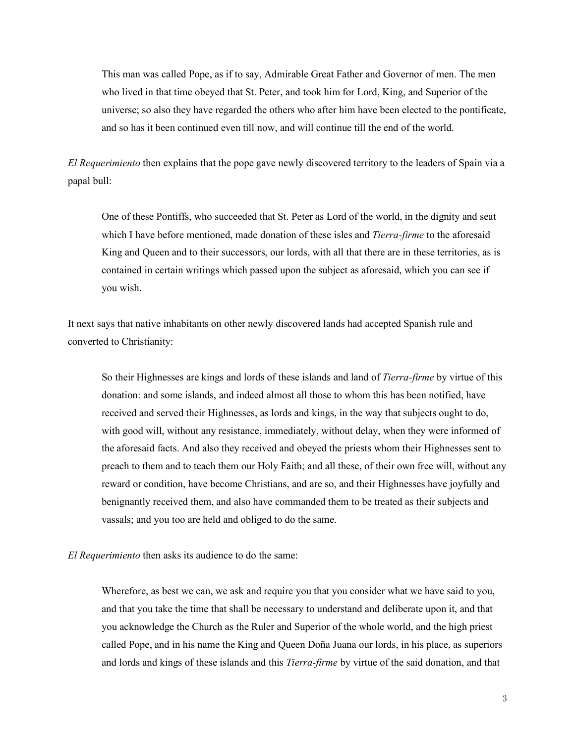This man was called Pope, as if to say, Admirable Great Father and Governor of men. The men who lived in that time obeyed that St. Peter, and took him for Lord, King, and Superior of the universe; so also they have regarded the others who after him have been elected to the pontificate, and so has it been continued even till now, and will continue till the end of the world.

*El Requerimiento* then explains that the pope gave newly discovered territory to the leaders of Spain via a papal bull:

One of these Pontiffs, who succeeded that St. Peter as Lord of the world, in the dignity and seat which I have before mentioned, made donation of these isles and *Tierra-firme* to the aforesaid King and Queen and to their successors, our lords, with all that there are in these territories, as is contained in certain writings which passed upon the subject as aforesaid, which you can see if you wish.

It next says that native inhabitants on other newly discovered lands had accepted Spanish rule and converted to Christianity:

So their Highnesses are kings and lords of these islands and land of *Tierra-firme* by virtue of this donation: and some islands, and indeed almost all those to whom this has been notified, have received and served their Highnesses, as lords and kings, in the way that subjects ought to do, with good will, without any resistance, immediately, without delay, when they were informed of the aforesaid facts. And also they received and obeyed the priests whom their Highnesses sent to preach to them and to teach them our Holy Faith; and all these, of their own free will, without any reward or condition, have become Christians, and are so, and their Highnesses have joyfully and benignantly received them, and also have commanded them to be treated as their subjects and vassals; and you too are held and obliged to do the same.

#### *El Requerimiento* then asks its audience to do the same:

Wherefore, as best we can, we ask and require you that you consider what we have said to you, and that you take the time that shall be necessary to understand and deliberate upon it, and that you acknowledge the Church as the Ruler and Superior of the whole world, and the high priest called Pope, and in his name the King and Queen Doña Juana our lords, in his place, as superiors and lords and kings of these islands and this *Tierra-firme* by virtue of the said donation, and that